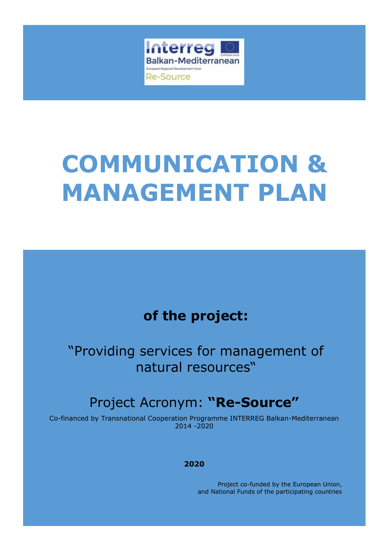

# **COMMUNICATION & MANAGEMENT PLAN**

# **of the project:**

"Providing services for management of natural resources"

# Project Acronym: **"Re-Source"**

Co-financed by Transnational Cooperation Programme INTERREG Balkan-Mediterranean 2014 -2020

#### **2020**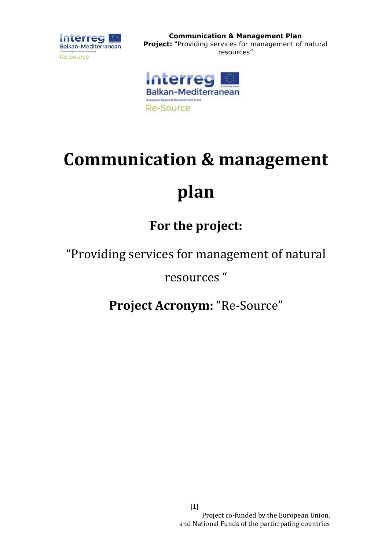

**Communication & Management Plan Project:** "Providing services for management of natural resources"



# **Communication & management**

# **plan**

# **For the project:**

"Providing services for management of natural

resources "

**Project Acronym:** "Re-Source"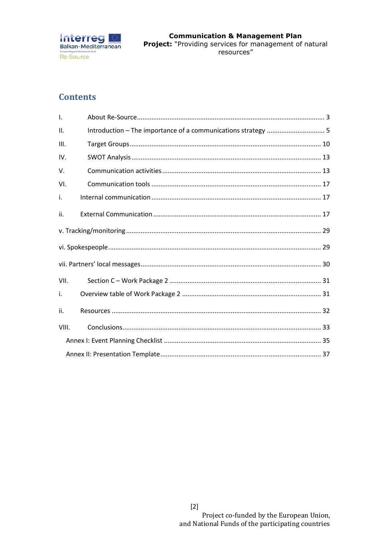

## **Contents**

| $\mathsf{L}$ |  |
|--------------|--|
| II.          |  |
| III.         |  |
| IV.          |  |
| V.           |  |
| VI.          |  |
| i.           |  |
| ii.          |  |
|              |  |
|              |  |
|              |  |
| VII.         |  |
| i.           |  |
| ii.          |  |
| VIII.        |  |
|              |  |
|              |  |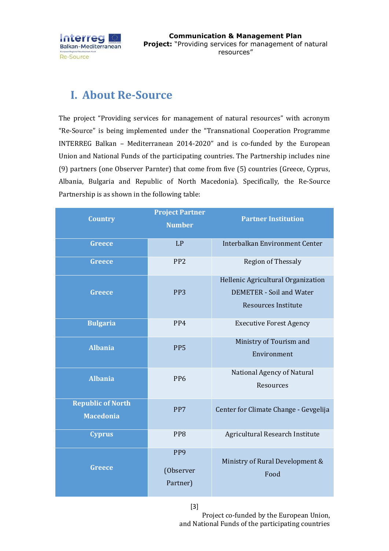

## <span id="page-3-0"></span>**I. About Re-Source**

The project "Providing services for management of natural resources" with acronym "Re-Source" is being implemented under the "Transnational Cooperation Programme INTERREG Balkan – Mediterranean 2014-2020" and is co-funded by the European Union and National Funds of the participating countries. The Partnership includes nine (9) partners (one Observer Parnter) that come from five (5) countries (Greece, Cyprus, Albania, Bulgaria and Republic of North Macedonia). Specifically, the Re-Source Partnership is as shown in the following table:

|                          | <b>Project Partner</b> | <b>Partner Institution</b>            |  |
|--------------------------|------------------------|---------------------------------------|--|
| <b>Country</b>           | <b>Number</b>          |                                       |  |
| <b>Greece</b>            | LP                     | Interbalkan Environment Center        |  |
|                          |                        |                                       |  |
| <b>Greece</b>            | PP <sub>2</sub>        | <b>Region of Thessaly</b>             |  |
|                          |                        | Hellenic Agricultural Organization    |  |
| <b>Greece</b>            | PP <sub>3</sub>        | <b>DEMETER - Soil and Water</b>       |  |
|                          |                        | <b>Resources Institute</b>            |  |
| <b>Bulgaria</b>          | PP4                    | <b>Executive Forest Agency</b>        |  |
| <b>Albania</b>           | PP <sub>5</sub>        | Ministry of Tourism and               |  |
|                          |                        | Environment                           |  |
| <b>Albania</b>           | PP <sub>6</sub>        | National Agency of Natural            |  |
|                          |                        | Resources                             |  |
| <b>Republic of North</b> | PP7                    | Center for Climate Change - Gevgelija |  |
| <b>Macedonia</b>         |                        |                                       |  |
| <b>Cyprus</b>            | PP8                    | Agricultural Research Institute       |  |
|                          | PP <sub>9</sub>        |                                       |  |
| <b>Greece</b>            | (Observer              | Ministry of Rural Development &       |  |
|                          | Partner)               | Food                                  |  |
|                          |                        |                                       |  |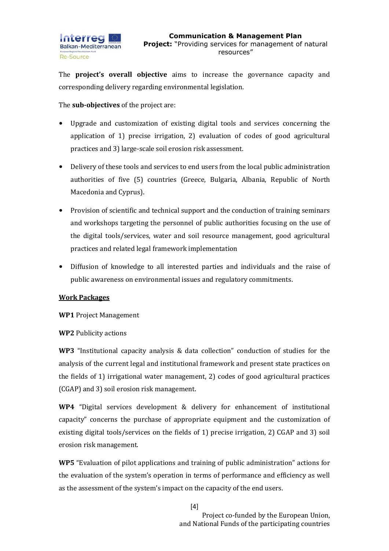

The **project's overall objective** aims to increase the governance capacity and corresponding delivery regarding environmental legislation.

The **sub-objectives** of the project are:

- Upgrade and customization of existing digital tools and services concerning the application of 1) precise irrigation, 2) evaluation of codes of good agricultural practices and 3) large-scale soil erosion risk assessment.
- Delivery of these tools and services to end users from the local public administration authorities of five (5) countries (Greece, Bulgaria, Albania, Republic of North Macedonia and Cyprus).
- Provision of scientific and technical support and the conduction of training seminars and workshops targeting the personnel of public authorities focusing on the use of the digital tools/services, water and soil resource management, good agricultural practices and related legal framework implementation
- Diffusion of knowledge to all interested parties and individuals and the raise of public awareness on environmental issues and regulatory commitments.

#### **Work Packages**

**WP1** Project Management

**WP2** Publicity actions

**WP3** "Institutional capacity analysis & data collection" conduction of studies for the analysis of the current legal and institutional framework and present state practices on the fields of 1) irrigational water management, 2) codes of good agricultural practices (CGAP) and 3) soil erosion risk management.

**WP4** "Digital services development & delivery for enhancement of institutional capacity" concerns the purchase of appropriate equipment and the customization of existing digital tools/services on the fields of 1) precise irrigation, 2) CGAP and 3) soil erosion risk management.

**WP5** "Evaluation of pilot applications and training of public administration" actions for the evaluation of the system's operation in terms of performance and efficiency as well as the assessment of the system's impact on the capacity of the end users.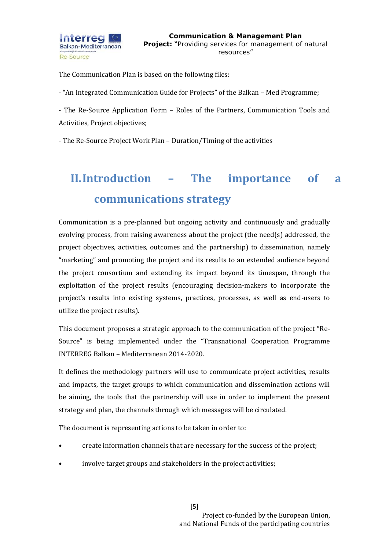

The Communication Plan is based on the following files:

- "An Integrated Communication Guide for Projects" of the Balkan – Med Programme;

- The Re-Source Application Form – Roles of the Partners, Communication Tools and Activities, Project objectives;

- The Re-Source Project Work Plan – Duration/Timing of the activities

# <span id="page-5-0"></span>**II.Introduction – The importance of a communications strategy**

Communication is a pre-planned but ongoing activity and continuously and gradually evolving process, from raising awareness about the project (the need(s) addressed, the project objectives, activities, outcomes and the partnership) to dissemination, namely "marketing" and promoting the project and its results to an extended audience beyond the project consortium and extending its impact beyond its timespan, through the exploitation of the project results (encouraging decision-makers to incorporate the project's results into existing systems, practices, processes, as well as end-users to utilize the project results).

This document proposes a strategic approach to the communication of the project "Re-Source" is being implemented under the "Transnational Cooperation Programme INTERREG Balkan – Mediterranean 2014-2020.

It defines the methodology partners will use to communicate project activities, results and impacts, the target groups to which communication and dissemination actions will be aiming, the tools that the partnership will use in order to implement the present strategy and plan, the channels through which messages will be circulated.

The document is representing actions to be taken in order to:

- create information channels that are necessary for the success of the project;
- involve target groups and stakeholders in the project activities;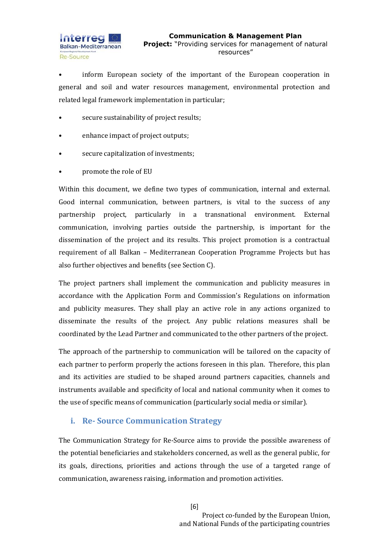

• inform European society of the important of the European cooperation in general and soil and water resources management, environmental protection and related legal framework implementation in particular;

- secure sustainability of project results;
- enhance impact of project outputs;
- secure capitalization of investments;
- promote the role of EU

Within this document, we define two types of communication, internal and external. Good internal communication, between partners, is vital to the success of any partnership project, particularly in a transnational environment. External communication, involving parties outside the partnership, is important for the dissemination of the project and its results. This project promotion is a contractual requirement of all Balkan – Mediterranean Cooperation Programme Projects but has also further objectives and benefits (see Section C).

The project partners shall implement the communication and publicity measures in accordance with the Application Form and Commission's Regulations on information and publicity measures. They shall play an active role in any actions organized to disseminate the results of the project. Any public relations measures shall be coordinated by the Lead Partner and communicated to the other partners of the project.

The approach of the partnership to communication will be tailored on the capacity of each partner to perform properly the actions foreseen in this plan. Therefore, this plan and its activities are studied to be shaped around partners capacities, channels and instruments available and specificity of local and national community when it comes to the use of specific means of communication (particularly social media or similar).

#### **i. Re- Source Communication Strategy**

The Communication Strategy for Re-Source aims to provide the possible awareness of the potential beneficiaries and stakeholders concerned, as well as the general public, for its goals, directions, priorities and actions through the use of a targeted range of communication, awareness raising, information and promotion activities.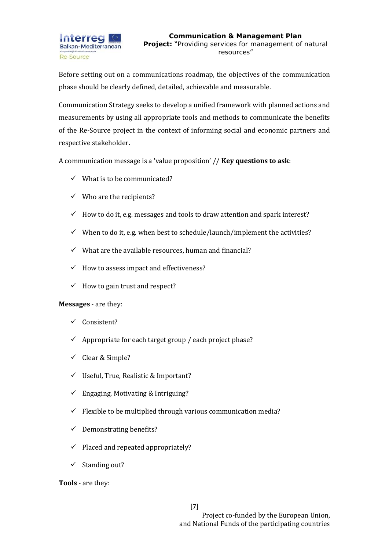Before setting out on a communications roadmap, the objectives of the communication phase should be clearly defined, detailed, achievable and measurable.

Communication Strategy seeks to develop a unified framework with planned actions and measurements by using all appropriate tools and methods to communicate the benefits of the Re-Source project in the context of informing social and economic partners and respective stakeholder.

A communication message is a 'value proposition' // **Key questions to ask**:

- $\checkmark$  What is to be communicated?
- $\checkmark$  Who are the recipients?
- $\checkmark$  How to do it, e.g. messages and tools to draw attention and spark interest?
- $\checkmark$  When to do it, e.g. when best to schedule/launch/implement the activities?
- $\checkmark$  What are the available resources, human and financial?
- $\checkmark$  How to assess impact and effectiveness?
- $\checkmark$  How to gain trust and respect?

#### **Messages** - are they:

- ✓ Consistent?
- $\checkmark$  Appropriate for each target group / each project phase?
- $\checkmark$  Clear & Simple?
- ✓ Useful, True, Realistic & Important?
- $\checkmark$  Engaging, Motivating & Intriguing?
- $\checkmark$  Flexible to be multiplied through various communication media?
- $\checkmark$  Demonstrating benefits?
- $\checkmark$  Placed and repeated appropriately?
- $\checkmark$  Standing out?

**Tools** - are they: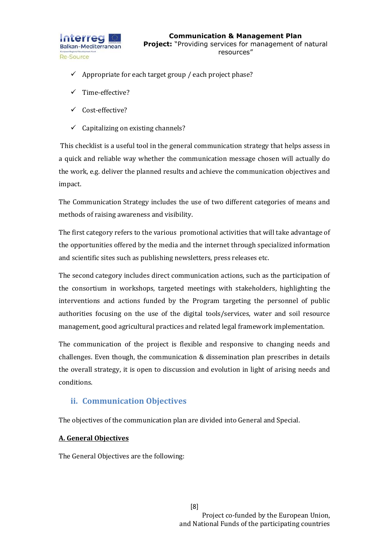

- $\checkmark$  Appropriate for each target group / each project phase?
- ✓ Time-effective?
- ✓ Cost-effective?
- $\checkmark$  Capitalizing on existing channels?

This checklist is a useful tool in the general communication strategy that helps assess in a quick and reliable way whether the communication message chosen will actually do the work, e.g. deliver the planned results and achieve the communication objectives and impact.

The Communication Strategy includes the use of two different categories of means and methods of raising awareness and visibility.

The first category refers to the various promotional activities that will take advantage of the opportunities offered by the media and the internet through specialized information and scientific sites such as publishing newsletters, press releases etc.

The second category includes direct communication actions, such as the participation of the consortium in workshops, targeted meetings with stakeholders, highlighting the interventions and actions funded by the Program targeting the personnel of public authorities focusing on the use of the digital tools/services, water and soil resource management, good agricultural practices and related legal framework implementation.

The communication of the project is flexible and responsive to changing needs and challenges. Even though, the communication & dissemination plan prescribes in details the overall strategy, it is open to discussion and evolution in light of arising needs and conditions.

### **ii. Communication Objectives**

The objectives of the communication plan are divided into General and Special.

#### **Α. General Objectives**

The General Objectives are the following: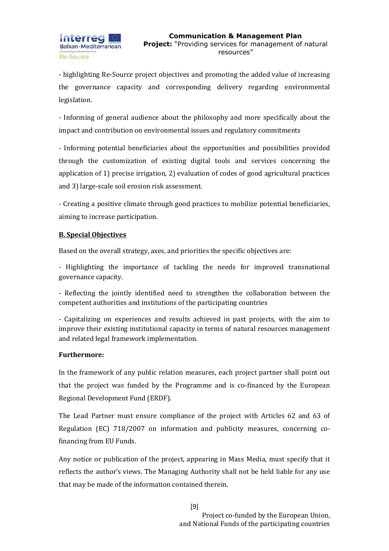- highlighting Re-Source project objectives and promoting the added value of increasing the governance capacity and corresponding delivery regarding environmental legislation.

- Informing of general audience about the philosophy and more specifically about the impact and contribution on environmental issues and regulatory commitments

- Informing potential beneficiaries about the opportunities and possibilities provided through the customization of existing digital tools and services concerning the application of 1) precise irrigation, 2) evaluation of codes of good agricultural practices and 3) large-scale soil erosion risk assessment.

- Creating a positive climate through good practices to mobilize potential beneficiaries, aiming to increase participation.

#### **Β. Special Objectives**

Based on the overall strategy, axes, and priorities the specific objectives are:

- Highlighting the importance of tackling the needs for improved transnational governance capacity.

- Reflecting the jointly identified need to strengthen the collaboration between the competent authorities and institutions of the participating countries

- Capitalizing on experiences and results achieved in past projects, with the aim to improve their existing institutional capacity in terms of natural resources management and related legal framework implementation.

#### **Furthermore:**

In the framework of any public relation measures, each project partner shall point out that the project was funded by the Programme and is co-financed by the European Regional Development Fund (ERDF).

The Lead Partner must ensure compliance of the project with Articles 62 and 63 of Regulation (EC) 718/2007 on information and publicity measures, concerning cofinancing from EU Funds.

Any notice or publication of the project, appearing in Mass Media, must specify that it reflects the author's views. The Managing Authority shall not be held liable for any use that may be made of the information contained therein.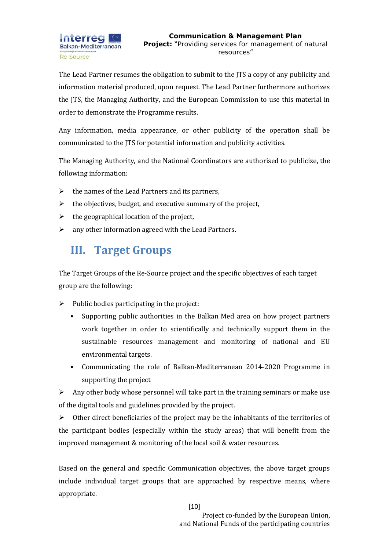The Lead Partner resumes the obligation to submit to the JTS a copy of any publicity and information material produced, upon request. The Lead Partner furthermore authorizes the JTS, the Managing Authority, and the European Commission to use this material in order to demonstrate the Programme results.

Any information, media appearance, or other publicity of the operation shall be communicated to the JTS for potential information and publicity activities.

The Managing Authority, and the National Coordinators are authorised to publicize, the following information:

- $\triangleright$  the names of the Lead Partners and its partners,
- $\triangleright$  the objectives, budget, and executive summary of the project,
- $\triangleright$  the geographical location of the project,
- $\triangleright$  any other information agreed with the Lead Partners.

# <span id="page-10-0"></span>**III. Target Groups**

The Target Groups of the Re-Source project and the specific objectives of each target group are the following:

- $\triangleright$  Public bodies participating in the project:
	- Supporting public authorities in the Balkan Med area on how project partners work together in order to scientifically and technically support them in the sustainable resources management and monitoring of national and EU environmental targets.
	- Communicating the role of Balkan-Mediterranean 2014-2020 Programme in supporting the project

 $\triangleright$  Any other body whose personnel will take part in the training seminars or make use of the digital tools and guidelines provided by the project.

 $\triangleright$  Other direct beneficiaries of the project may be the inhabitants of the territories of the participant bodies (especially within the study areas) that will benefit from the improved management & monitoring of the local soil & water resources.

Based on the general and specific Communication objectives, the above target groups include individual target groups that are approached by respective means, where appropriate.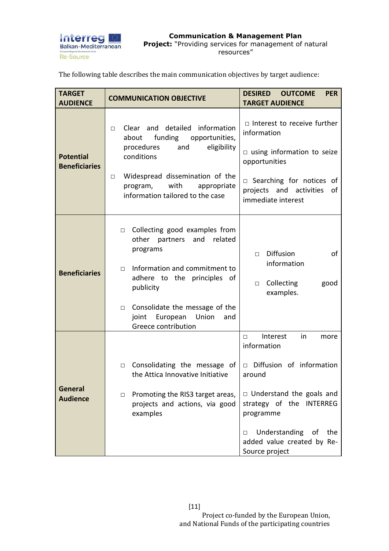

The following table describes the main communication objectives by target audience:

| <b>TARGET</b><br><b>AUDIENCE</b>         | <b>COMMUNICATION OBJECTIVE</b>                                                                                                                                                                                                                                                            | <b>DESIRED</b><br><b>OUTCOME</b><br><b>PER</b><br><b>TARGET AUDIENCE</b>                                                                                                                                                                      |
|------------------------------------------|-------------------------------------------------------------------------------------------------------------------------------------------------------------------------------------------------------------------------------------------------------------------------------------------|-----------------------------------------------------------------------------------------------------------------------------------------------------------------------------------------------------------------------------------------------|
| <b>Potential</b><br><b>Beneficiaries</b> | Clear and detailed information<br>П.<br>funding opportunities,<br>about<br>eligibility<br>procedures<br>and<br>conditions<br>Widespread dissemination of the<br>$\Box$<br>with<br>appropriate<br>program,<br>information tailored to the case                                             | $\Box$ Interest to receive further<br>information<br>$\Box$ using information to seize<br>opportunities<br>$\Box$ Searching for notices of<br>projects and activities<br>of<br>immediate interest                                             |
| <b>Beneficiaries</b>                     | Collecting good examples from<br>$\Box$<br>related<br>other<br>partners<br>and<br>programs<br>Information and commitment to<br>$\Box$<br>adhere to the principles of<br>publicity<br>Consolidate the message of the<br>$\Box$<br>European<br>Union<br>joint<br>and<br>Greece contribution | Diffusion<br>οf<br>$\Box$<br>information<br>Collecting<br>good<br>$\Box$<br>examples.                                                                                                                                                         |
| <b>General</b><br><b>Audience</b>        | Consolidating the message of<br>$\Box$<br>the Attica Innovative Initiative<br>Promoting the RIS3 target areas,<br>$\Box$<br>projects and actions, via good<br>examples                                                                                                                    | Interest<br>in<br>more<br>П.<br>information<br>Diffusion of information<br>around<br>$\Box$ Understand the goals and<br>strategy of the INTERREG<br>programme<br>Understanding of<br>the<br>□<br>added value created by Re-<br>Source project |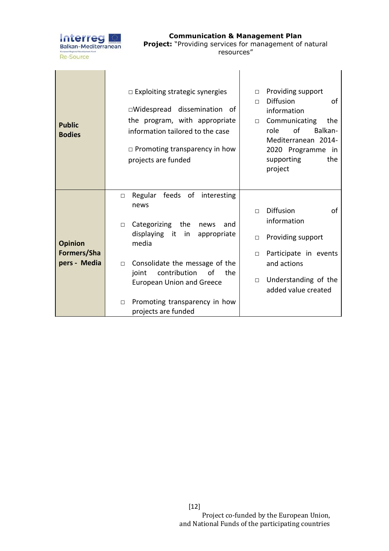

**Communication & Management Plan Project:** "Providing services for management of natural resources"

| <b>Public</b><br><b>Bodies</b>                | $\Box$ Exploiting strategic synergies<br>□Widespread dissemination of<br>the program, with appropriate<br>information tailored to the case<br>$\Box$ Promoting transparency in how<br>projects are funded                                                                                                                           | Providing support<br>П.<br><b>Diffusion</b><br>οf<br>П<br>information<br>Communicating<br>the<br>$\Box$<br>role<br>of<br>Balkan-<br>Mediterranean 2014-<br>2020 Programme in<br>supporting<br>the<br>project |
|-----------------------------------------------|-------------------------------------------------------------------------------------------------------------------------------------------------------------------------------------------------------------------------------------------------------------------------------------------------------------------------------------|--------------------------------------------------------------------------------------------------------------------------------------------------------------------------------------------------------------|
| <b>Opinion</b><br>Formers/Sha<br>pers - Media | Regular feeds of<br>interesting<br>□<br>news<br>Categorizing<br>the<br>news<br>and<br>$\Box$<br>displaying it<br>in<br>appropriate<br>media<br>Consolidate the message of the<br>$\Box$<br>contribution<br>the<br>joint<br>of<br><b>European Union and Greece</b><br>Promoting transparency in how<br>$\Box$<br>projects are funded | <b>Diffusion</b><br>of<br>$\Box$<br>information<br>Providing support<br>П<br>Participate in events<br>П<br>and actions<br>Understanding of the<br>$\Box$<br>added value created                              |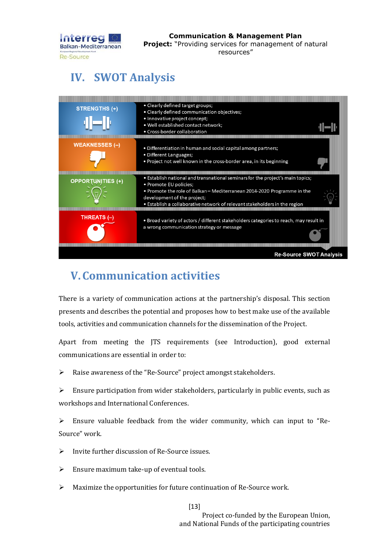

#### **Communication & Management Plan Project:** "Providing services for management of natural resources"

# <span id="page-13-0"></span>**IV. SWOT Analysis**



# <span id="page-13-1"></span>**V.Communication activities**

There is a variety of communication actions at the partnership's disposal. This section presents and describes the potential and proposes how to best make use of the available tools, activities and communication channels for the dissemination of the Project.

Apart from meeting the JTS requirements (see Introduction), good external communications are essential in order to:

➢ Raise awareness of the "Re-Source" project amongst stakeholders.

 $\triangleright$  Ensure participation from wider stakeholders, particularly in public events, such as workshops and International Conferences.

 $\triangleright$  Ensure valuable feedback from the wider community, which can input to "Re-Source" work.

- ➢ Invite further discussion of Re-Source issues.
- $\triangleright$  Ensure maximum take-up of eventual tools.
- ➢ Maximize the opportunities for future continuation of Re-Source work.

[13]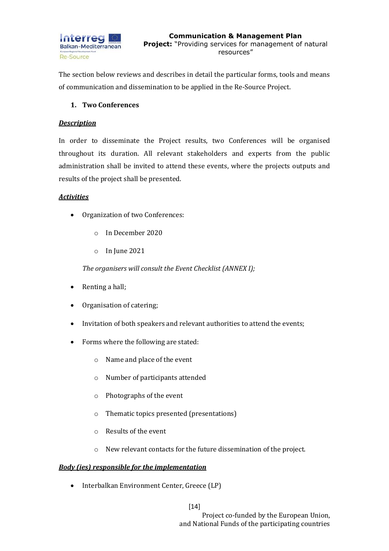

The section below reviews and describes in detail the particular forms, tools and means of communication and dissemination to be applied in the Re-Source Project.

#### **1. Two Conferences**

#### *Description*

In order to disseminate the Project results, two Conferences will be organised throughout its duration. All relevant stakeholders and experts from the public administration shall be invited to attend these events, where the projects outputs and results of the project shall be presented.

#### *Activities*

- Organization of two Conferences:
	- o In December 2020
	- o In June 2021

*The organisers will consult the Event Checklist (ANNEX I);*

- Renting a hall;
- Organisation of catering;
- Invitation of both speakers and relevant authorities to attend the events;
- Forms where the following are stated:
	- o Name and place of the event
	- o Number of participants attended
	- o Photographs of the event
	- o Thematic topics presented (presentations)
	- o Results of the event
	- o New relevant contacts for the future dissemination of the project.

#### *Body (ies) responsible for the implementation*

• Interbalkan Environment Center, Greece (LP)

[14]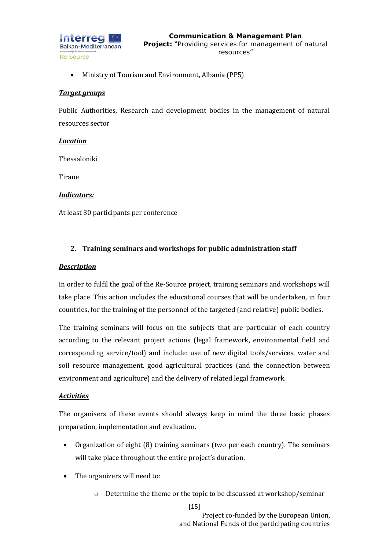

• Ministry of Tourism and Environment, Albania (PP5)

#### *Target groups*

Public Authorities, Research and development bodies in the management of natural resources sector

#### *Location*

Thessaloniki

Tirane

#### *Indicators:*

At least 30 participants per conference

#### **2. Training seminars and workshops for public administration staff**

#### *Description*

In order to fulfil the goal of the Re-Source project, training seminars and workshops will take place. This action includes the educational courses that will be undertaken, in four countries, for the training of the personnel of the targeted (and relative) public bodies.

The training seminars will focus on the subjects that are particular of each country according to the relevant project actions (legal framework, environmental field and corresponding service/tool) and include: use of new digital tools/services, water and soil resource management, good agricultural practices (and the connection between environment and agriculture) and the delivery of related legal framework.

#### *Activities*

The organisers of these events should always keep in mind the three basic phases preparation, implementation and evaluation.

- Organization of eight (8) training seminars (two per each country). The seminars will take place throughout the entire project's duration.
- The organizers will need to:
	- o Determine the theme or the topic to be discussed at workshop/seminar

 $[15]$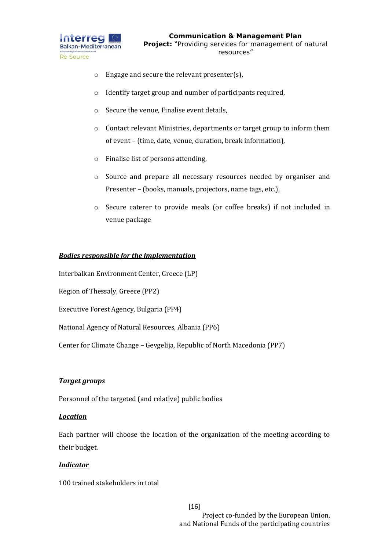

- o Engage and secure the relevant presenter(s),
- o Identify target group and number of participants required,
- o Secure the venue, Finalise event details,
- o Contact relevant Ministries, departments or target group to inform them of event – (time, date, venue, duration, break information),
- o Finalise list of persons attending,
- o Source and prepare all necessary resources needed by organiser and Presenter – (books, manuals, projectors, name tags, etc.),
- o Secure caterer to provide meals (or coffee breaks) if not included in venue package

#### *Bodies responsible for the implementation*

Interbalkan Environment Center, Greece (LP)

Region of Thessaly, Greece (PP2)

Executive Forest Agency, Bulgaria (PP4)

National Agency of Natural Resources, Albania (PP6)

Center for Climate Change – Gevgelija, Republic of North Macedonia (PP7)

#### *Target groups*

Personnel of the targeted (and relative) public bodies

#### *Location*

Each partner will choose the location of the organization of the meeting according to their budget.

#### *Indicator*

100 trained stakeholders in total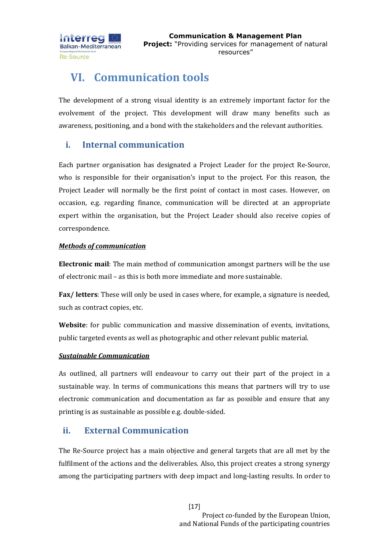

## <span id="page-17-0"></span>**VI. Communication tools**

The development of a strong visual identity is an extremely important factor for the evolvement of the project. This development will draw many benefits such as awareness, positioning, and a bond with the stakeholders and the relevant authorities.

## <span id="page-17-1"></span>**i. Internal communication**

Each partner organisation has designated a Project Leader for the project Re-Source, who is responsible for their organisation's input to the project. For this reason, the Project Leader will normally be the first point of contact in most cases. However, on occasion, e.g. regarding finance, communication will be directed at an appropriate expert within the organisation, but the Project Leader should also receive copies of correspondence.

#### *Methods of communication*

**Electronic mail**: The main method of communication amongst partners will be the use of electronic mail – as this is both more immediate and more sustainable.

**Fax/ letters**: These will only be used in cases where, for example, a signature is needed, such as contract copies, etc.

**Website**: for public communication and massive dissemination of events, invitations, public targeted events as well as photographic and other relevant public material.

#### *Sustainable Communication*

As outlined, all partners will endeavour to carry out their part of the project in a sustainable way. In terms of communications this means that partners will try to use electronic communication and documentation as far as possible and ensure that any printing is as sustainable as possible e.g. double-sided.

## <span id="page-17-2"></span>**ii. External Communication**

The Re-Source project has a main objective and general targets that are all met by the fulfilment of the actions and the deliverables. Also, this project creates a strong synergy among the participating partners with deep impact and long-lasting results. In order to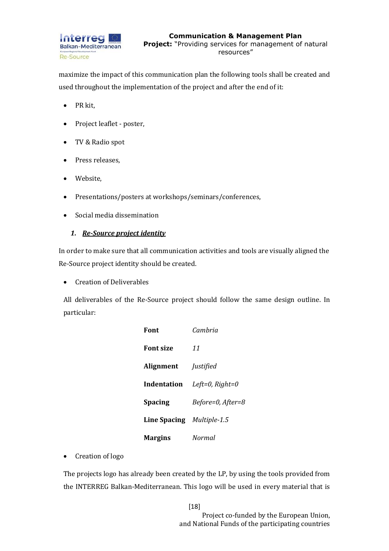

maximize the impact of this communication plan the following tools shall be created and used throughout the implementation of the project and after the end of it:

- PR kit,
- Project leaflet poster,
- TV & Radio spot
- Press releases,
- Website,
- Presentations/posters at workshops/seminars/conferences,
- Social media dissemination

#### *1. Re-Source project identity*

In order to make sure that all communication activities and tools are visually aligned the Re-Source project identity should be created.

• Creation of Deliverables

All deliverables of the Re-Source project should follow the same design outline. In particular:

| Font                             | Camhria           |
|----------------------------------|-------------------|
| <b>Font size</b>                 | 11                |
| <b>Alignment</b>                 | <i>Justified</i>  |
| Indentation                      | Left=0, $Right=0$ |
| <b>Spacing</b>                   | Before=0, After=8 |
| <b>Line Spacing</b> Multiple-1.5 |                   |
| <b>Margins</b>                   | Normal            |

• Creation of logo

The projects logo has already been created by the LP, by using the tools provided from the INTERREG Balkan-Mediterranean. This logo will be used in every material that is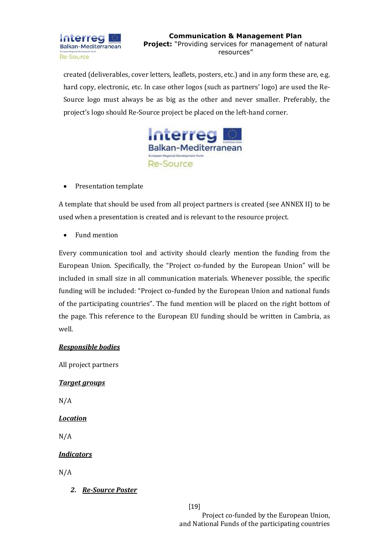

created (deliverables, cover letters, leaflets, posters, etc.) and in any form these are, e.g. hard copy, electronic, etc. In case other logos (such as partners' logo) are used the Re-Source logo must always be as big as the other and never smaller. Preferably, the project's logo should Re-Source project be placed on the left-hand corner.



• Presentation template

A template that should be used from all project partners is created (see ANNEX II) to be used when a presentation is created and is relevant to the resource project.

• Fund mention

Every communication tool and activity should clearly mention the funding from the European Union. Specifically, the "Project co-funded by the European Union" will be included in small size in all communication materials. Whenever possible, the specific funding will be included: "Project co-funded by the European Union and national funds of the participating countries". The fund mention will be placed on the right bottom of the page. This reference to the European EU funding should be written in Cambria, as well.

#### *Responsible bodies*

All project partners

#### *Target groups*

N/A

#### *Location*

N/A

#### *Indicators*

N/A

*2. Re-Source Poster* 

[19]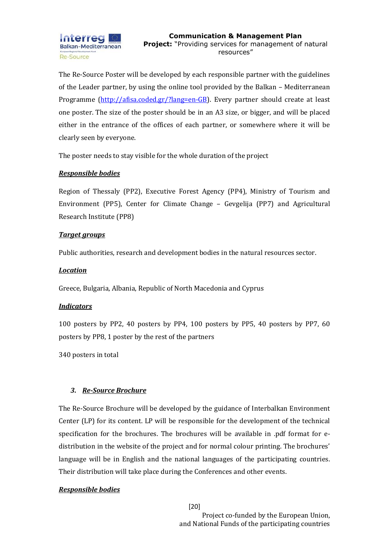The Re-Source Poster will be developed by each responsible partner with the guidelines of the Leader partner, by using the online tool provided by the Balkan – Mediterranean Programme [\(http://afisa.coded.gr/?lang=en-GB\)](http://afisa.coded.gr/?lang=en-GB). Every partner should create at least one poster. The size of the poster should be in an A3 size, or bigger, and will be placed either in the entrance of the offices of each partner, or somewhere where it will be clearly seen by everyone.

The poster needs to stay visible for the whole duration of the project

#### *Responsible bodies*

Region of Thessaly (PP2), Executive Forest Agency (PP4), Ministry of Tourism and Environment (PP5), Center for Climate Change – Gevgelija (PP7) and Agricultural Research Institute (PP8)

#### *Target groups*

Public authorities, research and development bodies in the natural resources sector.

#### *Location*

Greece, Bulgaria, Albania, Republic of North Macedonia and Cyprus

#### *Indicators*

100 posters by PP2, 40 posters by PP4, 100 posters by PP5, 40 posters by PP7, 60 posters by PP8, 1 poster by the rest of the partners

340 posters in total

#### *3. Re-Source Brochure*

The Re-Source Brochure will be developed by the guidance of Interbalkan Environment Center (LP) for its content. LP will be responsible for the development of the technical specification for the brochures. The brochures will be available in .pdf format for edistribution in the website of the project and for normal colour printing. The brochures' language will be in English and the national languages of the participating countries. Their distribution will take place during the Conferences and other events.

#### *Responsible bodies*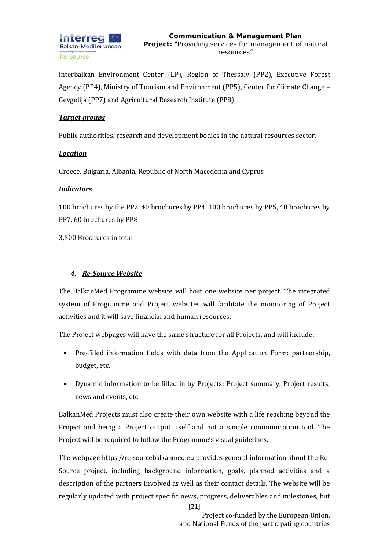

Interbalkan Environment Center (LP), Region of Thessaly (PP2), Executive Forest Agency (PP4), Ministry of Tourism and Environment (PP5), Center for Climate Change – Gevgelija (PP7) and Agricultural Research Institute (PP8)

#### *Target groups*

Public authorities, research and development bodies in the natural resources sector.

#### *Location*

Greece, Bulgaria, Albania, Republic of North Macedonia and Cyprus

#### *Indicators*

100 brochures by the PP2, 40 brochures by PP4, 100 brochures by PP5, 40 brochures by PP7, 60 brochures by PP8

3,500 Brochures in total

#### *4. Re-Source Website*

The BalkanMed Programme website will host one website per project. The integrated system of Programme and Project websites will facilitate the monitoring of Project activities and it will save financial and human resources.

The Project webpages will have the same structure for all Projects, and will include:

- Pre-filled information fields with data from the Application Form: partnership, budget, etc.
- Dynamic information to be filled in by Projects: Project summary, Project results, news and events, etc.

BalkanMed Projects must also create their own website with a life reaching beyond the Project and being a Project output itself and not a simple communication tool. The Project will be required to follow the Programme's visual guidelines.

The webpage [https://re-sourcebalkanmed.eu](https://re-sourcebalkanmed.eu/) provides general information about the Re-Source project, including background information, goals, planned activities and a description of the partners involved as well as their contact details. The website will be regularly updated with project specific news, progress, deliverables and milestones, but

[21]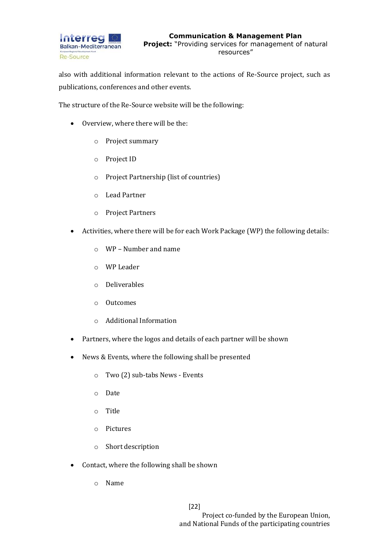

also with additional information relevant to the actions of Re-Source project, such as publications, conferences and other events.

The structure of the Re-Source website will be the following:

- Overview, where there will be the:
	- o Project summary
	- o Project ID
	- o Project Partnership (list of countries)
	- o Lead Partner
	- o Project Partners
- Activities, where there will be for each Work Package (WP) the following details:
	- o WP Number and name
	- o WP Leader
	- o Deliverables
	- o Outcomes
	- o Additional Information
- Partners, where the logos and details of each partner will be shown
- News & Events, where the following shall be presented
	- o Two (2) sub-tabs News Events
	- o Date
	- o Title
	- o Pictures
	- o Short description
- Contact, where the following shall be shown
	- o Name

[22]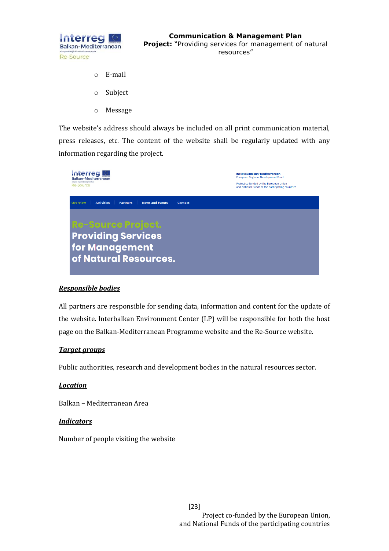

- o E-mail
- o Subject
- o Message

The website's address should always be included on all print communication material, press releases, etc. The content of the website shall be regularly updated with any information regarding the project.



#### *Responsible bodies*

All partners are responsible for sending data, information and content for the update of the website. Interbalkan Environment Center (LP) will be responsible for both the host page on the Balkan-Mediterranean Programme website and the Re-Source website.

#### *Target groups*

Public authorities, research and development bodies in the natural resources sector.

#### *Location*

Balkan – Mediterranean Area

#### *Indicators*

Number of people visiting the website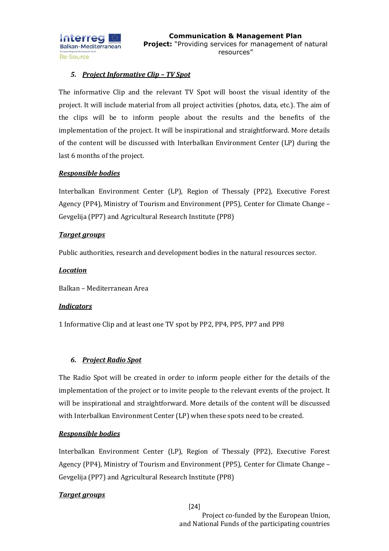

#### *5. Project Informative Clip – TV Spot*

The informative Clip and the relevant TV Spot will boost the visual identity of the project. It will include material from all project activities (photos, data, etc.). The aim of the clips will be to inform people about the results and the benefits of the implementation of the project. It will be inspirational and straightforward. More details of the content will be discussed with Interbalkan Environment Center (LP) during the last 6 months of the project.

#### *Responsible bodies*

Interbalkan Environment Center (LP), Region of Thessaly (PP2), Executive Forest Agency (PP4), Ministry of Tourism and Environment (PP5), Center for Climate Change – Gevgelija (PP7) and Agricultural Research Institute (PP8)

#### *Target groups*

Public authorities, research and development bodies in the natural resources sector.

#### *Location*

Balkan – Mediterranean Area

#### *Indicators*

1 Informative Clip and at least one TV spot by PP2, PP4, PP5, PP7 and PP8

#### *6. Project Radio Spot*

The Radio Spot will be created in order to inform people either for the details of the implementation of the project or to invite people to the relevant events of the project. It will be inspirational and straightforward. More details of the content will be discussed with Interbalkan Environment Center (LP) when these spots need to be created.

#### *Responsible bodies*

Interbalkan Environment Center (LP), Region of Thessaly (PP2), Executive Forest Agency (PP4), Ministry of Tourism and Environment (PP5), Center for Climate Change – Gevgelija (PP7) and Agricultural Research Institute (PP8)

#### *Target groups*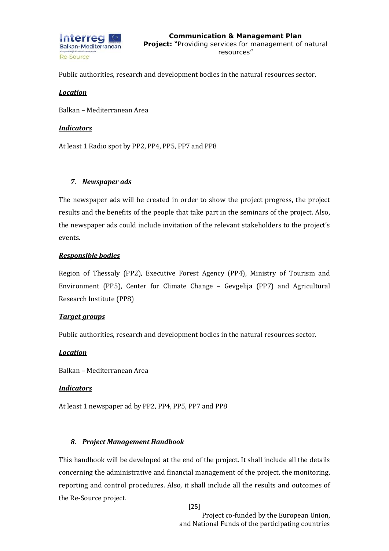

Public authorities, research and development bodies in the natural resources sector.

#### *Location*

Balkan – Mediterranean Area

#### *Indicators*

At least 1 Radio spot by PP2, PP4, PP5, PP7 and PP8

#### *7. Newspaper ads*

The newspaper ads will be created in order to show the project progress, the project results and the benefits of the people that take part in the seminars of the project. Also, the newspaper ads could include invitation of the relevant stakeholders to the project's events.

#### *Responsible bodies*

Region of Thessaly (PP2), Executive Forest Agency (PP4), Ministry of Tourism and Environment (PP5), Center for Climate Change – Gevgelija (PP7) and Agricultural Research Institute (PP8)

#### *Target groups*

Public authorities, research and development bodies in the natural resources sector.

#### *Location*

Balkan – Mediterranean Area

#### *Indicators*

At least 1 newspaper ad by PP2, PP4, PP5, PP7 and PP8

#### *8. Project Management Handbook*

This handbook will be developed at the end of the project. It shall include all the details concerning the administrative and financial management of the project, the monitoring, reporting and control procedures. Also, it shall include all the results and outcomes of the Re-Source project.

[25]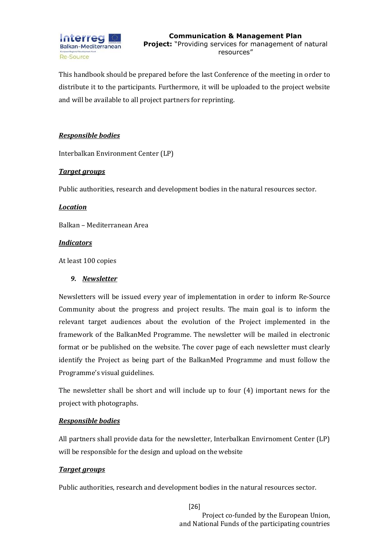

This handbook should be prepared before the last Conference of the meeting in order to distribute it to the participants. Furthermore, it will be uploaded to the project website and will be available to all project partners for reprinting.

#### *Responsible bodies*

Interbalkan Environment Center (LP)

#### *Target groups*

Public authorities, research and development bodies in the natural resources sector.

#### *Location*

Balkan – Mediterranean Area

#### *Indicators*

At least 100 copies

#### *9. Newsletter*

Newsletters will be issued every year of implementation in order to inform Re-Source Community about the progress and project results. The main goal is to inform the relevant target audiences about the evolution of the Project implemented in the framework of the BalkanMed Programme. The newsletter will be mailed in electronic format or be published on the website. The cover page of each newsletter must clearly identify the Project as being part of the BalkanMed Programme and must follow the Programme's visual guidelines.

The newsletter shall be short and will include up to four (4) important news for the project with photographs.

#### *Responsible bodies*

All partners shall provide data for the newsletter, Interbalkan Envirnoment Center (LP) will be responsible for the design and upload on the website

#### *Target groups*

Public authorities, research and development bodies in the natural resources sector.

[26]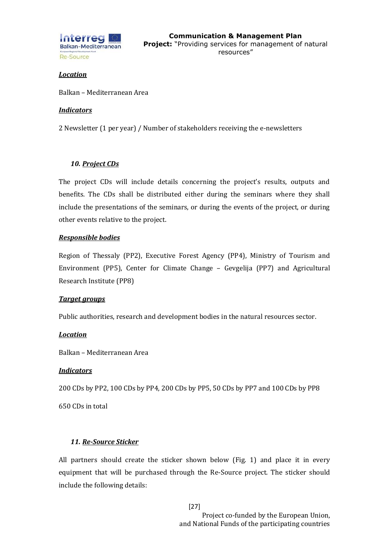

#### *Location*

Balkan – Mediterranean Area

#### *Indicators*

2 Newsletter (1 per year) / Number of stakeholders receiving the e-newsletters

#### *10. Project CDs*

The project CDs will include details concerning the project's results, outputs and benefits. The CDs shall be distributed either during the seminars where they shall include the presentations of the seminars, or during the events of the project, or during other events relative to the project.

#### *Responsible bodies*

Region of Thessaly (PP2), Executive Forest Agency (PP4), Ministry of Tourism and Environment (PP5), Center for Climate Change – Gevgelija (PP7) and Agricultural Research Institute (PP8)

#### *Target groups*

Public authorities, research and development bodies in the natural resources sector.

#### *Location*

Balkan – Mediterranean Area

#### *Indicators*

200 CDs by PP2, 100 CDs by PP4, 200 CDs by PP5, 50 CDs by PP7 and 100 CDs by PP8

650 CDs in total

#### *11. Re-Source Sticker*

All partners should create the sticker shown below (Fig. 1) and place it in every equipment that will be purchased through the Re-Source project. The sticker should include the following details: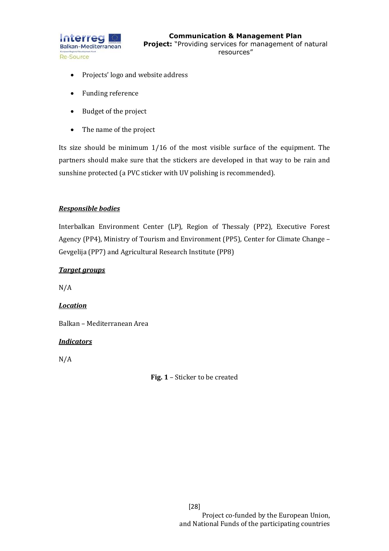

- Projects' logo and website address
- Funding reference
- Budget of the project
- The name of the project

Its size should be minimum 1/16 of the most visible surface of the equipment. The partners should make sure that the stickers are developed in that way to be rain and sunshine protected (a PVC sticker with UV polishing is recommended).

#### *Responsible bodies*

Interbalkan Environment Center (LP), Region of Thessaly (PP2), Executive Forest Agency (PP4), Ministry of Tourism and Environment (PP5), Center for Climate Change – Gevgelija (PP7) and Agricultural Research Institute (PP8)

#### *Target groups*

N/A

#### *Location*

Balkan – Mediterranean Area

#### *Indicators*

N/A

**Fig. 1** – Sticker to be created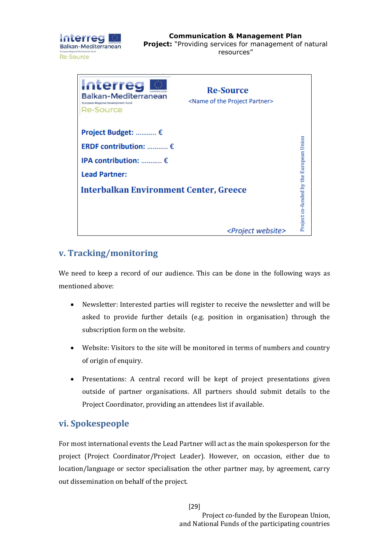



## <span id="page-29-0"></span>**v. Tracking/monitoring**

We need to keep a record of our audience. This can be done in the following ways as mentioned above:

- Newsletter: Interested parties will register to receive the newsletter and will be asked to provide further details (e.g. position in organisation) through the subscription form on the website.
- Website: Visitors to the site will be monitored in terms of numbers and country of origin of enquiry.
- Presentations: A central record will be kept of project presentations given outside of partner organisations. All partners should submit details to the Project Coordinator, providing an attendees list if available.

## <span id="page-29-1"></span>**vi. Spokespeople**

For most international events the Lead Partner will act as the main spokesperson for the project (Project Coordinator/Project Leader). However, on occasion, either due to location/language or sector specialisation the other partner may, by agreement, carry out dissemination on behalf of the project.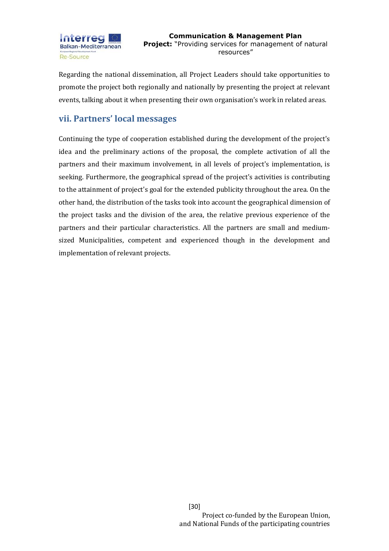

Regarding the national dissemination, all Project Leaders should take opportunities to promote the project both regionally and nationally by presenting the project at relevant events, talking about it when presenting their own organisation's work in related areas.

### <span id="page-30-0"></span>**vii. Partners' local messages**

Continuing the type of cooperation established during the development of the project's idea and the preliminary actions of the proposal, the complete activation of all the partners and their maximum involvement, in all levels of project's implementation, is seeking. Furthermore, the geographical spread of the project's activities is contributing to the attainment of project's goal for the extended publicity throughout the area. On the other hand, the distribution of the tasks took into account the geographical dimension of the project tasks and the division of the area, the relative previous experience of the partners and their particular characteristics. All the partners are small and mediumsized Municipalities, competent and experienced though in the development and implementation of relevant projects.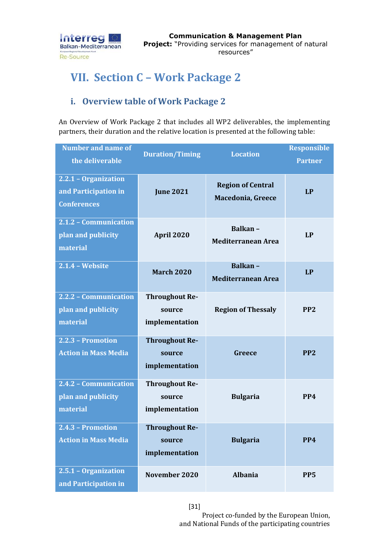

# <span id="page-31-0"></span>**VII. Section C – Work Package 2**

## <span id="page-31-1"></span>**i. Overview table of Work Package 2**

An Overview of Work Package 2 that includes all WP2 deliverables, the implementing partners, their duration and the relative location is presented at the following table:

| <b>Number and name of</b><br>the deliverable                       | <b>Duration/Timing</b>                            | <b>Location</b>                               | <b>Responsible</b><br><b>Partner</b> |
|--------------------------------------------------------------------|---------------------------------------------------|-----------------------------------------------|--------------------------------------|
| 2.2.1 - Organization<br>and Participation in<br><b>Conferences</b> | <b>June 2021</b>                                  | <b>Region of Central</b><br>Macedonia, Greece | <b>LP</b>                            |
| 2.1.2 - Communication<br>plan and publicity<br>material            | April 2020                                        | Balkan-<br><b>Mediterranean Area</b>          | <b>LP</b>                            |
| <b>2.1.4 - Website</b>                                             | <b>March 2020</b>                                 | Balkan-<br><b>Mediterranean Area</b>          | <b>LP</b>                            |
| 2.2.2 - Communication<br>plan and publicity<br>material            | <b>Throughout Re-</b><br>source<br>implementation | <b>Region of Thessaly</b>                     | PP <sub>2</sub>                      |
| 2.2.3 - Promotion<br><b>Action in Mass Media</b>                   | <b>Throughout Re-</b><br>source<br>implementation | Greece                                        | PP <sub>2</sub>                      |
| 2.4.2 - Communication<br>plan and publicity<br>material            | <b>Throughout Re-</b><br>source<br>implementation | <b>Bulgaria</b>                               | PP4                                  |
| 2.4.3 - Promotion<br><b>Action in Mass Media</b>                   | <b>Throughout Re-</b><br>source<br>implementation | <b>Bulgaria</b>                               | PP4                                  |
| 2.5.1 - Organization<br>and Participation in                       | November 2020                                     | <b>Albania</b>                                | PP <sub>5</sub>                      |

[31]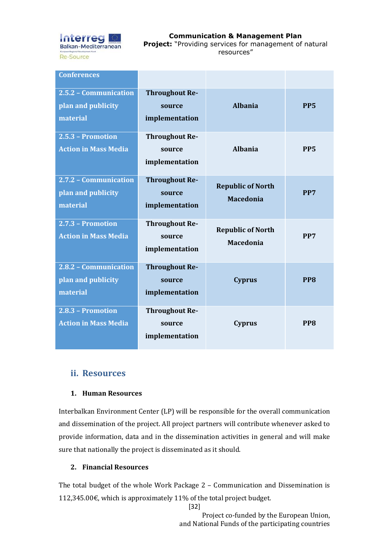

**Communication & Management Plan Project:** "Providing services for management of natural resources"

| <b>Conferences</b>                                      |                                                   |                                              |                 |
|---------------------------------------------------------|---------------------------------------------------|----------------------------------------------|-----------------|
| 2.5.2 - Communication<br>plan and publicity<br>material | <b>Throughout Re-</b><br>source<br>implementation | <b>Albania</b>                               | PP <sub>5</sub> |
| 2.5.3 - Promotion<br><b>Action in Mass Media</b>        | <b>Throughout Re-</b><br>source<br>implementation | <b>Albania</b>                               | PP <sub>5</sub> |
| 2.7.2 - Communication<br>plan and publicity<br>material | <b>Throughout Re-</b><br>source<br>implementation | <b>Republic of North</b><br><b>Macedonia</b> | PP7             |
| $2.7.3$ - Promotion<br><b>Action in Mass Media</b>      | <b>Throughout Re-</b><br>source<br>implementation | <b>Republic of North</b><br><b>Macedonia</b> | PP7             |
| 2.8.2 - Communication<br>plan and publicity<br>material | <b>Throughout Re-</b><br>source<br>implementation | <b>Cyprus</b>                                | PP8             |
| 2.8.3 - Promotion<br><b>Action in Mass Media</b>        | <b>Throughout Re-</b><br>source<br>implementation | <b>Cyprus</b>                                | PP <sub>8</sub> |

### <span id="page-32-0"></span>**ii. Resources**

#### **1. Human Resources**

Interbalkan Environment Center (LP) will be responsible for the overall communication and dissemination of the project. All project partners will contribute whenever asked to provide information, data and in the dissemination activities in general and will make sure that nationally the project is disseminated as it should.

#### **2. Financial Resources**

The total budget of the whole Work Package 2 – Communication and Dissemination is 112,345.00€, which is approximately 11% of the total project budget.

[32]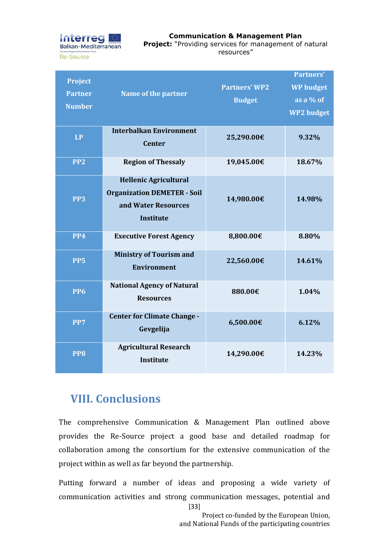

| <b>Project</b><br><b>Partner</b><br><b>Number</b> | <b>Name of the partner</b>                                                                                    | <b>Partners' WP2</b><br><b>Budget</b> | <b>Partners'</b><br><b>WP</b> budget<br>as a $%$ of<br><b>WP2</b> budget |
|---------------------------------------------------|---------------------------------------------------------------------------------------------------------------|---------------------------------------|--------------------------------------------------------------------------|
| <b>LP</b>                                         | <b>Interbalkan Environment</b><br><b>Center</b>                                                               | 25,290.00€                            | 9.32%                                                                    |
| PP <sub>2</sub>                                   | <b>Region of Thessaly</b>                                                                                     | 19,045.00€                            | 18.67%                                                                   |
| PP <sub>3</sub>                                   | <b>Hellenic Agricultural</b><br><b>Organization DEMETER - Soil</b><br>and Water Resources<br><b>Institute</b> | 14,980.00€                            | 14.98%                                                                   |
| PP4                                               | <b>Executive Forest Agency</b>                                                                                | 8,800.00€                             | 8.80%                                                                    |
| <b>PP5</b>                                        | <b>Ministry of Tourism and</b><br><b>Environment</b>                                                          | 22,560.00€                            | 14.61%                                                                   |
| <b>PP6</b>                                        | <b>National Agency of Natural</b><br><b>Resources</b>                                                         | 880.00€                               | 1.04%                                                                    |
| PP7                                               | <b>Center for Climate Change -</b><br>Gevgelija                                                               | 6,500.00€                             | 6.12%                                                                    |
| PP8                                               | <b>Agricultural Research</b><br><b>Institute</b>                                                              | 14,290.00€                            | 14.23%                                                                   |

## <span id="page-33-0"></span>**VIII. Conclusions**

The comprehensive Communication & Management Plan outlined above provides the Re-Source project a good base and detailed roadmap for collaboration among the consortium for the extensive communication of the project within as well as far beyond the partnership.

[33] Putting forward a number of ideas and proposing a wide variety of communication activities and strong communication messages, potential and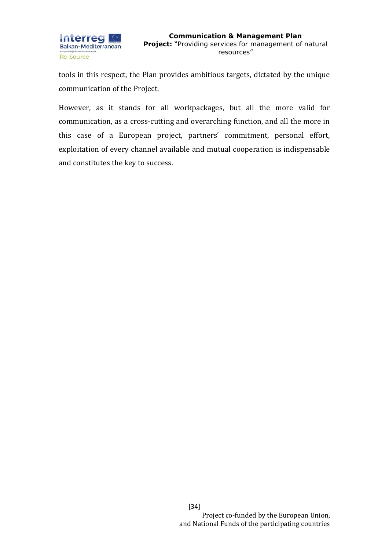

tools in this respect, the Plan provides ambitious targets, dictated by the unique communication of the Project.

However, as it stands for all workpackages, but all the more valid for communication, as a cross-cutting and overarching function, and all the more in this case of a European project, partners' commitment, personal effort, exploitation of every channel available and mutual cooperation is indispensable and constitutes the key to success.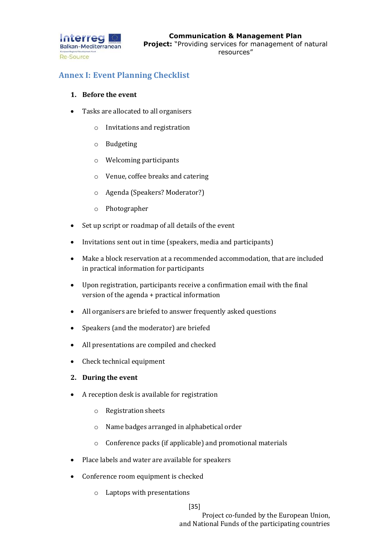

## <span id="page-35-0"></span>**Annex Ι: Event Planning Checklist**

#### **1. Before the event**

- Tasks are allocated to all organisers
	- o Invitations and registration
	- o Budgeting
	- o Welcoming participants
	- o Venue, coffee breaks and catering
	- o Agenda (Speakers? Moderator?)
	- o Photographer
- Set up script or roadmap of all details of the event
- Invitations sent out in time (speakers, media and participants)
- Make a block reservation at a recommended accommodation, that are included in practical information for participants
- Upon registration, participants receive a confirmation email with the final version of the agenda + practical information
- All organisers are briefed to answer frequently asked questions
- Speakers (and the moderator) are briefed
- All presentations are compiled and checked
- Check technical equipment
- **2. During the event**
- A reception desk is available for registration
	- o Registration sheets
	- o Name badges arranged in alphabetical order
	- o Conference packs (if applicable) and promotional materials
- Place labels and water are available for speakers
- Conference room equipment is checked
	- o Laptops with presentations

[35]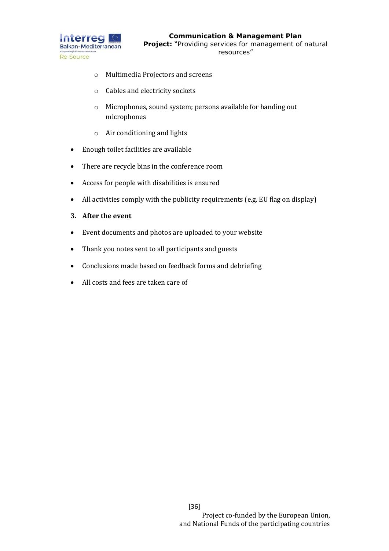

- o Multimedia Projectors and screens
- o Cables and electricity sockets
- o Microphones, sound system; persons available for handing out microphones
- o Air conditioning and lights
- Enough toilet facilities are available
- There are recycle bins in the conference room
- Access for people with disabilities is ensured
- All activities comply with the publicity requirements (e.g. EU flag on display)
- **3. After the event**
- Event documents and photos are uploaded to your website
- Thank you notes sent to all participants and guests
- Conclusions made based on feedback forms and debriefing
- All costs and fees are taken care of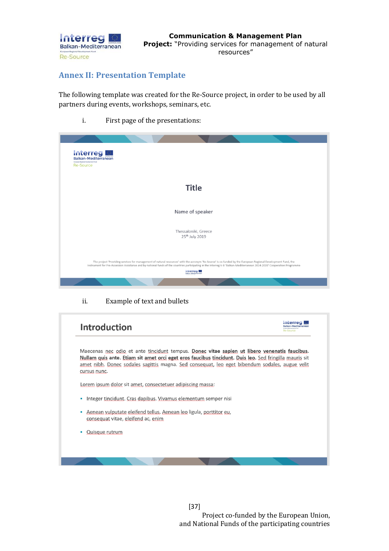

## <span id="page-37-0"></span>**Annex IΙ: Presentation Template**

The following template was created for the Re-Source project, in order to be used by all partners during events, workshops, seminars, etc.

i. First page of the presentations:



ii. Example of text and bullets

| <b>Introduction</b>                                                                                                                                                                                                                                                                                                      |  |
|--------------------------------------------------------------------------------------------------------------------------------------------------------------------------------------------------------------------------------------------------------------------------------------------------------------------------|--|
| Maecenas nec odio et ante tincidunt tempus. Donec vitae sapien ut libero venenatis faucibus.<br>Nullam quis ante. Etiam sit amet orci eget eros faucibus tincidunt. Duis leo. Sed fringilla mauris sit<br>amet nibh. Donec sodales sagittis magna. Sed consequat, leo eget bibendum sodales, augue velit<br>cursus nunc. |  |
| Lorem ipsum dolor sit amet, consectetuer adipiscing massa:                                                                                                                                                                                                                                                               |  |
| Integer tincidunt. Cras dapibus. Vivamus elementum semper nisi<br>п                                                                                                                                                                                                                                                      |  |
| Aenean vulputate eleifend tellus. Aenean leo ligula, porttitor eu,<br>consequat vitae, eleifend ac, enim                                                                                                                                                                                                                 |  |
| Quisque rutrum                                                                                                                                                                                                                                                                                                           |  |